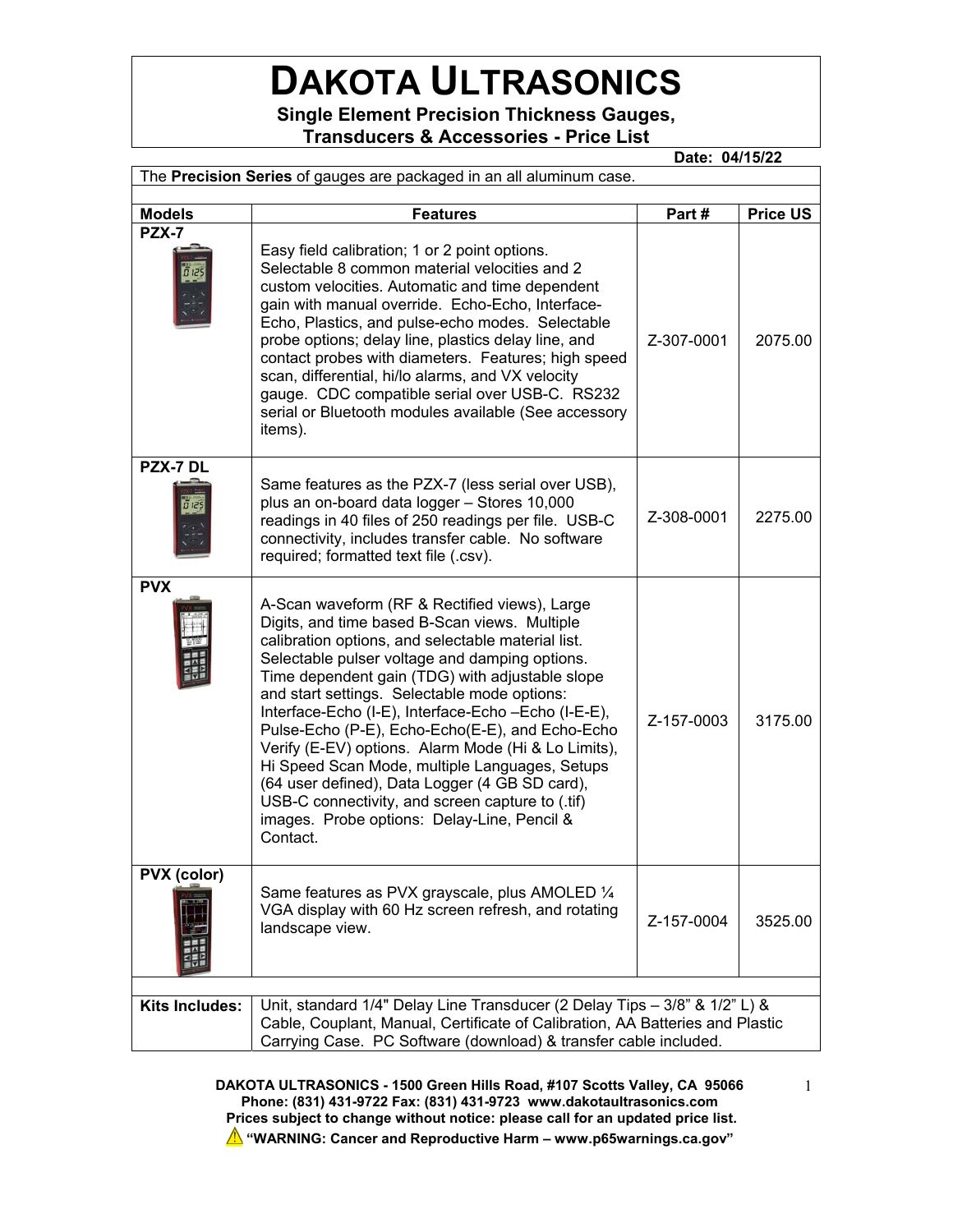# **DAKOTA ULTRASONICS**

**Single Element Precision Thickness Gauges, Transducers & Accessories - Price List** 

 **Date: 04/15/22**  The **Precision Series** of gauges are packaged in an all aluminum case. **Models Features Part # Price US PZX-7**  Easy field calibration; 1 or 2 point options. Selectable 8 common material velocities and 2 custom velocities. Automatic and time dependent gain with manual override. Echo-Echo, Interface-Echo, Plastics, and pulse-echo modes. Selectable probe options; delay line, plastics delay line, and contact probes with diameters. Features; high speed scan, differential, hi/lo alarms, and VX velocity gauge. CDC compatible serial over USB-C. RS232 serial or Bluetooth modules available (See accessory items). Z-307-0001 2075.00 **PZX-7 DL**  Same features as the PZX-7 (less serial over USB), plus an on-board data logger – Stores 10,000 readings in 40 files of 250 readings per file. USB-C connectivity, includes transfer cable. No software required; formatted text file (.csv). Z-308-0001 2275.00 **PVX**  A-Scan waveform (RF & Rectified views), Large Digits, and time based B-Scan views. Multiple calibration options, and selectable material list. Selectable pulser voltage and damping options. Time dependent gain (TDG) with adjustable slope and start settings. Selectable mode options: Interface-Echo (I-E), Interface-Echo –Echo (I-E-E), Pulse-Echo (P-E), Echo-Echo(E-E), and Echo-Echo Verify (E-EV) options. Alarm Mode (Hi & Lo Limits), Hi Speed Scan Mode, multiple Languages, Setups (64 user defined), Data Logger (4 GB SD card), USB-C connectivity, and screen capture to (.tif) images. Probe options: Delay-Line, Pencil & Contact.  $Z-157-0003$  3175.00 **PVX (color)**  Same features as PVX grayscale, plus AMOLED ¼ VGA display with 60 Hz screen refresh, and rotating  $\frac{1}{2}$  along view.<br> $\frac{1}{2}$  and scape view. **Kits Includes:** Unit, standard 1/4" Delay Line Transducer (2 Delay Tips – 3/8" & 1/2" L) & Cable, Couplant, Manual, Certificate of Calibration, AA Batteries and Plastic Carrying Case. PC Software (download) & transfer cable included.

> **DAKOTA ULTRASONICS - 1500 Green Hills Road, #107 Scotts Valley, CA 95066 Phone: (831) 431-9722 Fax: (831) 431-9723 www.dakotaultrasonics.com Prices subject to change without notice: please call for an updated price list. "WARNING: Cancer and Reproductive Harm – www.p65warnings.ca.gov"**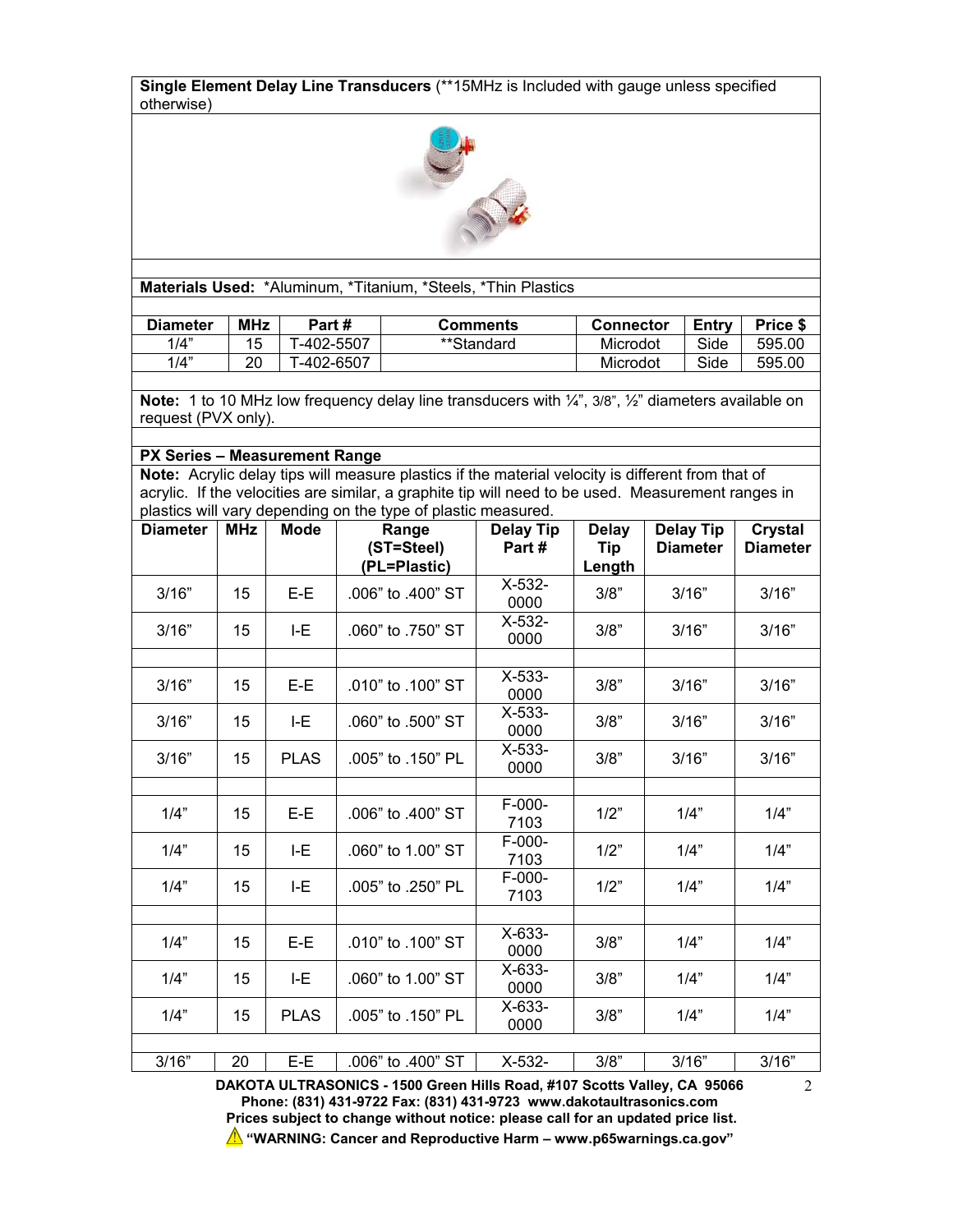**Single Element Delay Line Transducers** (\*\*15MHz is Included with gauge unless specified otherwise)



**Materials Used:** \*Aluminum, \*Titanium, \*Steels, \*Thin Plastics

| <b>Diameter</b> | <b>MHz</b> | Part #        | Comments   | Connector | Entry | Price \$ |
|-----------------|------------|---------------|------------|-----------|-------|----------|
| 1/4"            |            | $-402 - 5507$ | **Standard | Microdot  | Side  | 595.00   |
| 1/4"            | ററ<br>∠∪   | -402-6507     |            | Microdot  | Side  | 595.00   |

**Note:** 1 to 10 MHz low frequency delay line transducers with ¼", 3/8", ½" diameters available on request (PVX only).

#### **PX Series – Measurement Range**

**Note:** Acrylic delay tips will measure plastics if the material velocity is different from that of acrylic. If the velocities are similar, a graphite tip will need to be used. Measurement ranges in plastics will vary depending on the type of plastic measured.

| <b>Diameter</b> | <b>MHz</b> | <b>Mode</b> | Range<br>(ST=Steel)<br>(PL=Plastic) | <b>Delay Tip</b><br>Part# | <b>Delay</b><br>Tip<br>Length | <b>Delay Tip</b><br><b>Diameter</b> | <b>Crystal</b><br><b>Diameter</b> |
|-----------------|------------|-------------|-------------------------------------|---------------------------|-------------------------------|-------------------------------------|-----------------------------------|
| 3/16"           | 15         | $E-E$       | .006" to .400" ST                   | $X-532-$<br>0000          | 3/8"                          | 3/16"                               | 3/16"                             |
| 3/16"           | 15         | I-E         | .060" to .750" ST                   | $X-532-$<br>0000          | 3/8"                          | 3/16"                               | 3/16"                             |
|                 |            |             |                                     |                           |                               |                                     |                                   |
| 3/16"           | 15         | $E-E$       | $.010"$ to $.100"$ ST               | $X-533-$<br>0000          | 3/8"                          | 3/16"                               | 3/16"                             |
| 3/16"           | 15         | I-E         | .060" to .500" ST                   | $X-533-$<br>0000          | 3/8"                          | 3/16"                               | 3/16"                             |
| 3/16"           | 15         | <b>PLAS</b> | .005" to .150" PL                   | $X-533-$<br>0000          | 3/8"                          | 3/16"                               | 3/16"                             |
|                 |            |             |                                     |                           |                               |                                     |                                   |
| 1/4"            | 15         | $E-E$       | .006" to .400" ST                   | $F-000-$<br>7103          | 1/2"                          | 1/4"                                | 1/4"                              |
| 1/4"            | 15         | I-E         | .060" to 1.00" ST                   | F-000-<br>7103            | 1/2"                          | 1/4"                                | 1/4"                              |
| 1/4"            | 15         | E           | .005" to .250" PL                   | F-000-<br>7103            | 1/2"                          | 1/4"                                | 1/4"                              |
|                 |            |             |                                     |                           |                               |                                     |                                   |
| 1/4"            | 15         | $E-E$       | .010" to .100" ST                   | X-633-<br>0000            | 3/8"                          | 1/4"                                | 1/4"                              |
| 1/4"            | 15         | I-E         | .060" to 1.00" ST                   | X-633-<br>0000            | 3/8"                          | 1/4"                                | 1/4"                              |
| 1/4"            | 15         | <b>PLAS</b> | .005" to .150" PL                   | X-633-<br>0000            | 3/8"                          | 1/4"                                | 1/4"                              |
|                 |            |             |                                     |                           |                               |                                     |                                   |
| 3/16"           | 20         | E-E         | .006" to .400" ST                   | X-532-                    | 3/8"                          | 3/16"                               | 3/16"                             |

**DAKOTA ULTRASONICS - 1500 Green Hills Road, #107 Scotts Valley, CA 95066 Phone: (831) 431-9722 Fax: (831) 431-9723 www.dakotaultrasonics.com Prices subject to change without notice: please call for an updated price list. "WARNING: Cancer and Reproductive Harm – www.p65warnings.ca.gov"**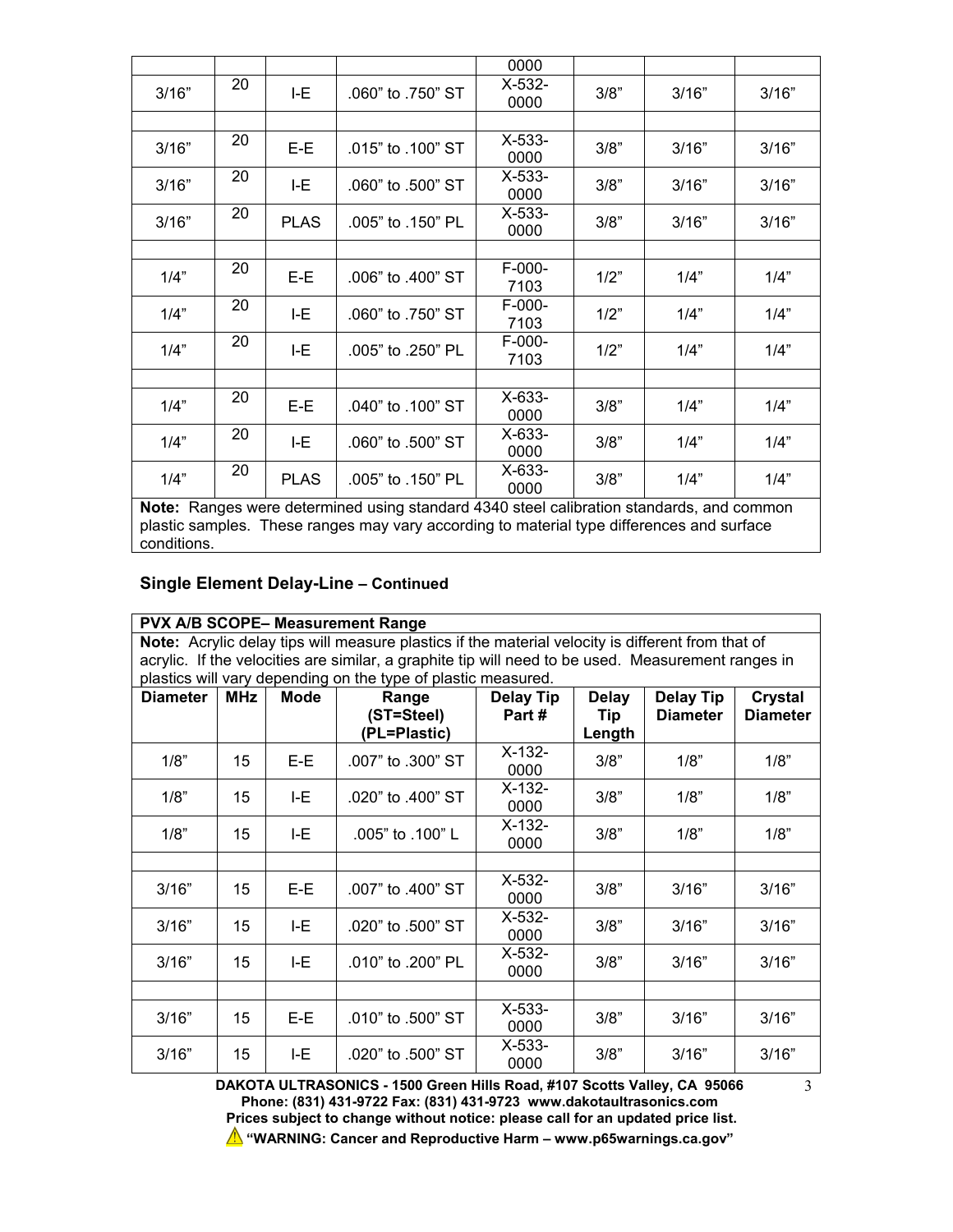|       |    |             |                                                                                          | 0000             |      |       |       |
|-------|----|-------------|------------------------------------------------------------------------------------------|------------------|------|-------|-------|
| 3/16" | 20 | I-E         | .060" to .750" ST                                                                        | $X-532-$<br>0000 | 3/8" | 3/16" | 3/16" |
|       |    |             |                                                                                          |                  |      |       |       |
| 3/16" | 20 | E-E         | .015" to .100" ST                                                                        | $X-533-$<br>0000 | 3/8" | 3/16" | 3/16" |
| 3/16" | 20 | I-E         | .060" to .500" ST                                                                        | $X-533-$<br>0000 | 3/8" | 3/16" | 3/16" |
| 3/16" | 20 | <b>PLAS</b> | .005" to .150" PL                                                                        | $X-533-$<br>0000 | 3/8" | 3/16" | 3/16" |
|       |    |             |                                                                                          |                  |      |       |       |
| 1/4"  | 20 | E-E         | .006" to .400" ST                                                                        | $F-000-$<br>7103 | 1/2" | 1/4"  | 1/4"  |
| 1/4"  | 20 | I-E         | .060" to .750" ST                                                                        | $F-000-$<br>7103 | 1/2" | 1/4"  | 1/4"  |
| 1/4"  | 20 | I-E         | .005" to .250" PL                                                                        | $F-000-$<br>7103 | 1/2" | 1/4"  | 1/4"  |
|       |    |             |                                                                                          |                  |      |       |       |
| 1/4"  | 20 | $E-E$       | .040" to .100" ST                                                                        | $X-633-$<br>0000 | 3/8" | 1/4"  | 1/4"  |
| 1/4"  | 20 | I-E         | .060" to .500" ST                                                                        | $X-633-$<br>0000 | 3/8" | 1/4"  | 1/4"  |
| 1/4"  | 20 | <b>PLAS</b> | .005" to .150" PL                                                                        | X-633-<br>0000   | 3/8" | 1/4"  | 1/4"  |
|       |    |             | Note: Ranges were determined using standard 4340 steel calibration standards, and common |                  |      |       |       |

**Note:** Ranges were determined using standard 4340 steel calibration standards, and common plastic samples. These ranges may vary according to material type differences and surface conditions.

### **Single Element Delay-Line – Continued**

|                 |                                                                                                                                                                                                         |             | <b>PVX A/B SCOPE- Measurement Range</b>                       |                           |                     |                                     |                                   |  |  |
|-----------------|---------------------------------------------------------------------------------------------------------------------------------------------------------------------------------------------------------|-------------|---------------------------------------------------------------|---------------------------|---------------------|-------------------------------------|-----------------------------------|--|--|
|                 | Note: Acrylic delay tips will measure plastics if the material velocity is different from that of<br>acrylic. If the velocities are similar, a graphite tip will need to be used. Measurement ranges in |             |                                                               |                           |                     |                                     |                                   |  |  |
|                 |                                                                                                                                                                                                         |             |                                                               |                           |                     |                                     |                                   |  |  |
| <b>Diameter</b> | <b>MHz</b>                                                                                                                                                                                              | <b>Mode</b> | plastics will vary depending on the type of plastic measured. |                           |                     |                                     |                                   |  |  |
|                 |                                                                                                                                                                                                         |             | Range<br>(ST=Steel)                                           | <b>Delay Tip</b><br>Part# | <b>Delay</b><br>Tip | <b>Delay Tip</b><br><b>Diameter</b> | <b>Crystal</b><br><b>Diameter</b> |  |  |
|                 |                                                                                                                                                                                                         |             | (PL=Plastic)                                                  |                           | Length              |                                     |                                   |  |  |
| 1/8"            | 15                                                                                                                                                                                                      | $E-E$       | .007" to .300" ST                                             | $X-132-$<br>0000          | 3/8"                | 1/8"                                | 1/8"                              |  |  |
| 1/8"            | 15                                                                                                                                                                                                      | I-E         | .020" to .400" ST                                             | $X-132-$<br>0000          | 3/8"                | 1/8"                                | 1/8"                              |  |  |
| 1/8"            | 15                                                                                                                                                                                                      | I-E         | .005" to .100" L                                              | $X-132-$<br>0000          | 3/8"                | 1/8"                                | 1/8"                              |  |  |
|                 |                                                                                                                                                                                                         |             |                                                               |                           |                     |                                     |                                   |  |  |
| 3/16"           | 15                                                                                                                                                                                                      | E-E         | .007" to .400" ST                                             | $X-532-$<br>0000          | 3/8"                | 3/16"                               | 3/16"                             |  |  |
| 3/16"           | 15                                                                                                                                                                                                      | I-E         | .020" to .500" ST                                             | $X-532-$<br>0000          | 3/8"                | 3/16"                               | 3/16"                             |  |  |
| 3/16"           | 15                                                                                                                                                                                                      | I-E         | .010" to .200" PL                                             | $X-532-$<br>0000          | 3/8"                | 3/16"                               | 3/16"                             |  |  |
|                 |                                                                                                                                                                                                         |             |                                                               |                           |                     |                                     |                                   |  |  |
| 3/16"           | 15                                                                                                                                                                                                      | E-E         | .010" to .500" ST                                             | $X-533-$<br>0000          | 3/8"                | 3/16"                               | 3/16"                             |  |  |
| 3/16"           | 15                                                                                                                                                                                                      | I-E         | .020" to .500" ST                                             | $X-533-$<br>0000          | 3/8"                | 3/16"                               | 3/16"                             |  |  |

**DAKOTA ULTRASONICS - 1500 Green Hills Road, #107 Scotts Valley, CA 95066 Phone: (831) 431-9722 Fax: (831) 431-9723 www.dakotaultrasonics.com Prices subject to change without notice: please call for an updated price list. "WARNING: Cancer and Reproductive Harm – www.p65warnings.ca.gov"**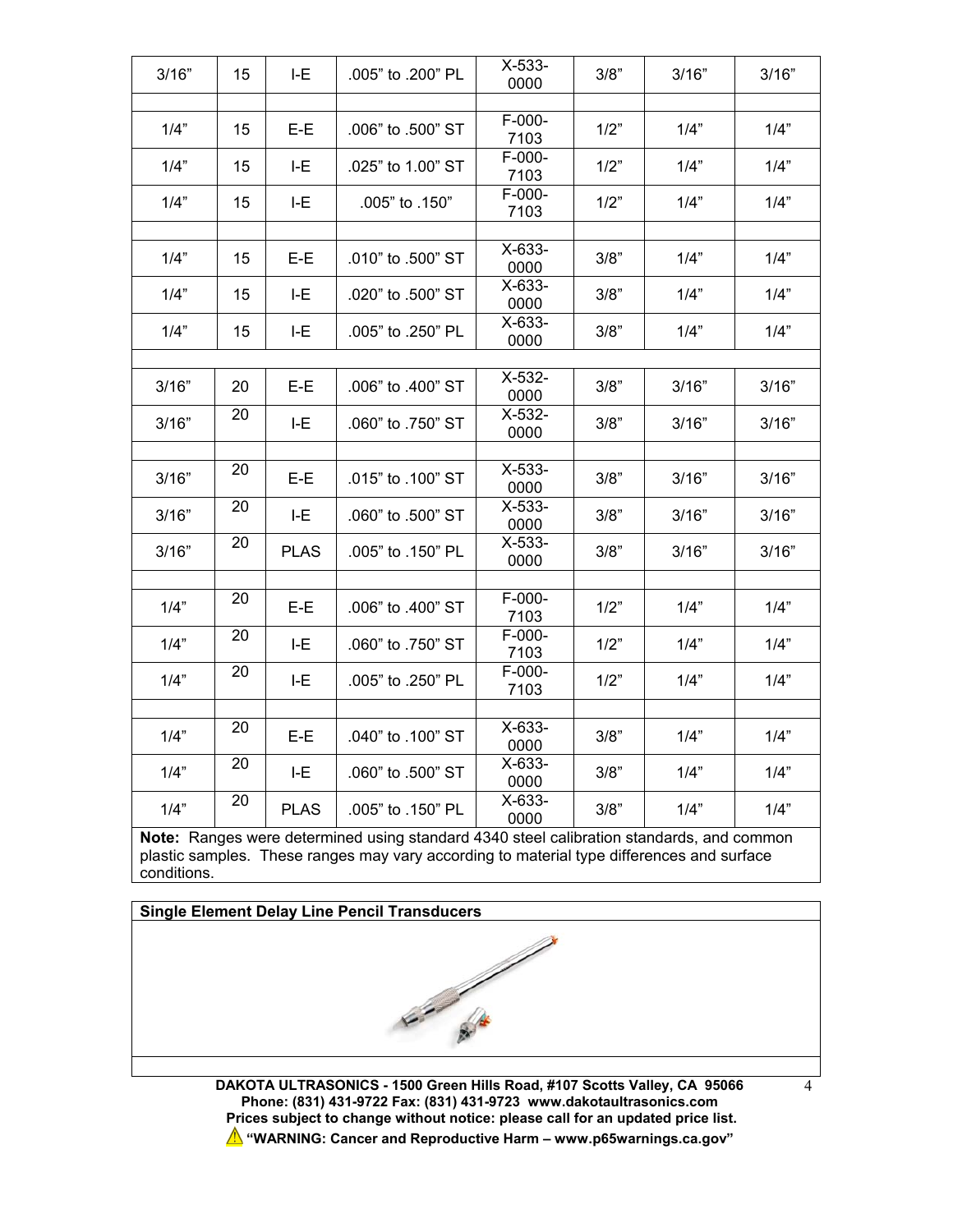| 3/16" | 15 | I-E         | .005" to .200" PL | $X-533-$<br>0000 | 3/8" | 3/16" | 3/16" |
|-------|----|-------------|-------------------|------------------|------|-------|-------|
|       |    |             |                   |                  |      |       |       |
| 1/4"  | 15 | $E-E$       | .006" to .500" ST | $F-000-$<br>7103 | 1/2" | 1/4"  | 1/4"  |
| 1/4"  | 15 | I-E         | .025" to 1.00" ST | F-000-<br>7103   | 1/2" | 1/4"  | 1/4"  |
| 1/4"  | 15 | I-E         | .005" to .150"    | F-000-<br>7103   | 1/2" | 1/4"  | 1/4"  |
|       |    |             |                   |                  |      |       |       |
| 1/4"  | 15 | $E-E$       | .010" to .500" ST | $X-633-$<br>0000 | 3/8" | 1/4"  | 1/4"  |
| 1/4"  | 15 | LE          | .020" to .500" ST | $X-633-$<br>0000 | 3/8" | 1/4"  | 1/4"  |
| 1/4"  | 15 | I-E         | .005" to .250" PL | $X-633-$<br>0000 | 3/8" | 1/4"  | 1/4"  |
|       |    |             |                   |                  |      |       |       |
| 3/16" | 20 | E-E         | .006" to .400" ST | X-532-<br>0000   | 3/8" | 3/16" | 3/16" |
| 3/16" | 20 | LE          | .060" to .750" ST | $X-532-$<br>0000 | 3/8" | 3/16" | 3/16" |
|       |    |             |                   |                  |      |       |       |
| 3/16" | 20 | E-E         | .015" to .100" ST | $X-533-$<br>0000 | 3/8" | 3/16" | 3/16" |
| 3/16" | 20 | I-E         | .060" to .500" ST | $X-533-$<br>0000 | 3/8" | 3/16" | 3/16" |
| 3/16" | 20 | <b>PLAS</b> | .005" to .150" PL | $X-533-$<br>0000 | 3/8" | 3/16" | 3/16" |
|       |    |             |                   |                  |      |       |       |
| 1/4"  | 20 | $E-E$       | .006" to .400" ST | $F-000-$<br>7103 | 1/2" | 1/4"  | 1/4"  |
| 1/4"  | 20 | I-E         | .060" to .750" ST | F-000-<br>7103   | 1/2" | 1/4"  | 1/4"  |
| 1/4"  | 20 | LE          | .005" to .250" PL | F-000-<br>7103   | 1/2" | 1/4"  | 1/4"  |
|       |    |             |                   |                  |      |       |       |
| 1/4"  | 20 | $E-E$       | .040" to .100" ST | X-633-<br>0000   | 3/8" | 1/4"  | 1/4"  |
| 1/4"  | 20 | $I-E$       | .060" to .500" ST | $X-633-$<br>0000 | 3/8" | 1/4"  | 1/4"  |
| 1/4"  | 20 | <b>PLAS</b> | .005" to .150" PL | X-633-<br>0000   | 3/8" | 1/4"  | 1/4"  |

**Note:** Ranges were determined using standard 4340 steel calibration standards, and common plastic samples. These ranges may vary according to material type differences and surface conditions.



**DAKOTA ULTRASONICS - 1500 Green Hills Road, #107 Scotts Valley, CA 95066 Phone: (831) 431-9722 Fax: (831) 431-9723 www.dakotaultrasonics.com Prices subject to change without notice: please call for an updated price list. "WARNING: Cancer and Reproductive Harm – www.p65warnings.ca.gov"**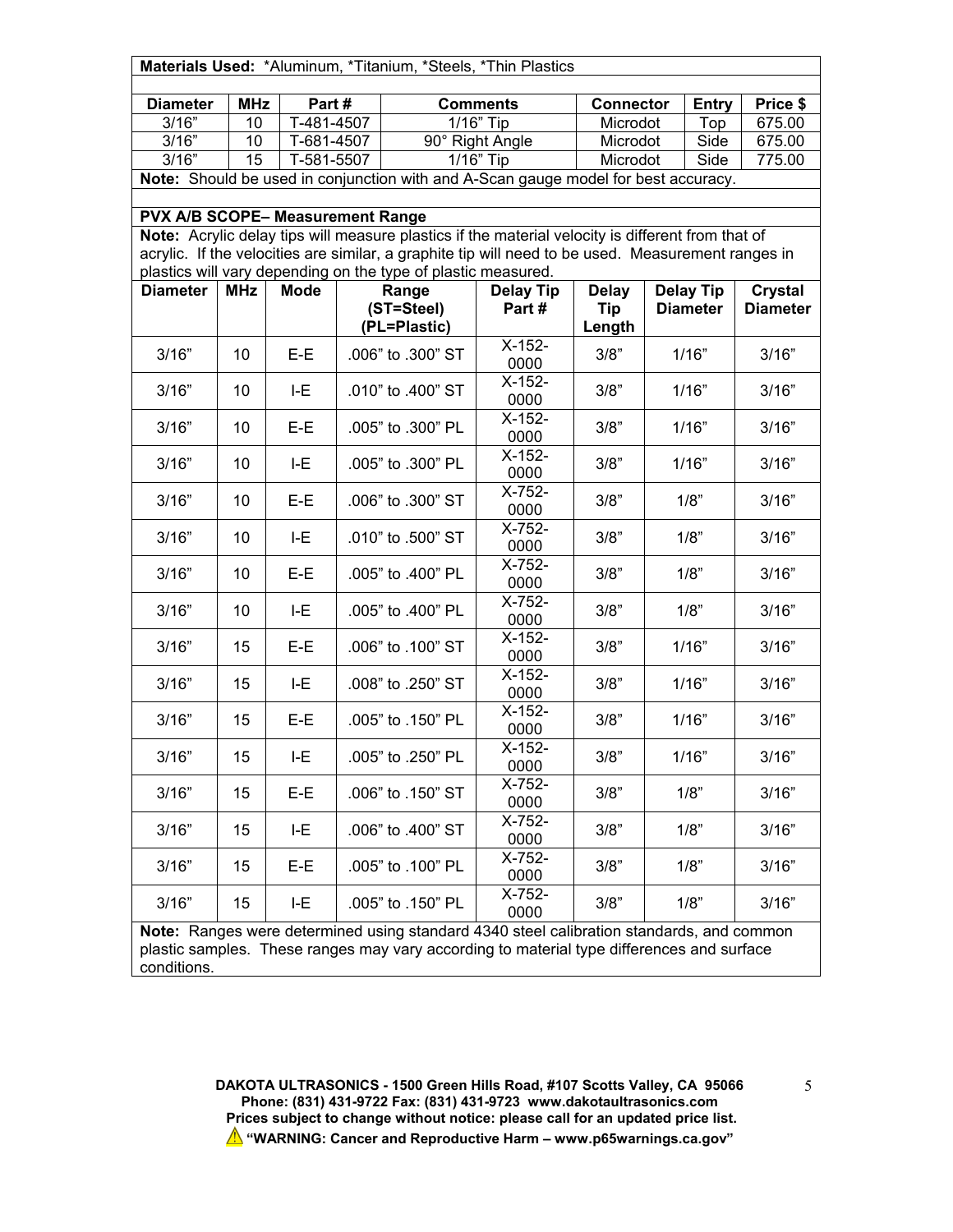|                                                                                    |                  |                                   |  |                                                                        | Materials Used: *Aluminum, *Titanium, *Steels, *Thin Plastics                                      |                              |  |                     |                    |  |
|------------------------------------------------------------------------------------|------------------|-----------------------------------|--|------------------------------------------------------------------------|----------------------------------------------------------------------------------------------------|------------------------------|--|---------------------|--------------------|--|
|                                                                                    |                  |                                   |  |                                                                        |                                                                                                    |                              |  |                     |                    |  |
| <b>Diameter</b><br>3/16"                                                           | <b>MHz</b><br>10 | Part#<br>$\overline{T}$ -481-4507 |  |                                                                        | <b>Comments</b><br>1/16" Tip                                                                       | <b>Connector</b><br>Microdot |  | <b>Entry</b><br>Top | Price \$<br>675.00 |  |
| 3/16"                                                                              | 10               | T-681-4507                        |  |                                                                        | 90° Right Angle                                                                                    | Microdot                     |  | Side                | 675.00             |  |
| 3/16"                                                                              | 15               | T-581-5507                        |  |                                                                        | 1/16" Tip                                                                                          | Microdot                     |  | Side                | 775.00             |  |
| Note: Should be used in conjunction with and A-Scan gauge model for best accuracy. |                  |                                   |  |                                                                        |                                                                                                    |                              |  |                     |                    |  |
|                                                                                    |                  |                                   |  |                                                                        |                                                                                                    |                              |  |                     |                    |  |
| PVX A/B SCOPE- Measurement Range                                                   |                  |                                   |  |                                                                        |                                                                                                    |                              |  |                     |                    |  |
|                                                                                    |                  |                                   |  |                                                                        | Note: Acrylic delay tips will measure plastics if the material velocity is different from that of  |                              |  |                     |                    |  |
|                                                                                    |                  |                                   |  |                                                                        | acrylic. If the velocities are similar, a graphite tip will need to be used. Measurement ranges in |                              |  |                     |                    |  |
| <b>Diameter</b>                                                                    | <b>MHz</b>       | <b>Mode</b>                       |  | plastics will vary depending on the type of plastic measured.<br>Range | <b>Delay Tip</b>                                                                                   | <b>Delay</b>                 |  | <b>Delay Tip</b>    | <b>Crystal</b>     |  |
|                                                                                    |                  |                                   |  | (ST=Steel)                                                             | Part#                                                                                              | Tip                          |  | <b>Diameter</b>     | <b>Diameter</b>    |  |
|                                                                                    |                  |                                   |  | (PL=Plastic)                                                           |                                                                                                    | Length                       |  |                     |                    |  |
| 3/16"                                                                              | 10               | E-E                               |  | .006" to .300" ST                                                      | $X-152-$                                                                                           | 3/8"                         |  | 1/16"               | 3/16"              |  |
|                                                                                    |                  |                                   |  |                                                                        | 0000                                                                                               |                              |  |                     |                    |  |
| 3/16"                                                                              | 10               | I-E                               |  | .010" to .400" ST                                                      | $X-152-$                                                                                           | 3/8"                         |  | 1/16"               | 3/16"              |  |
|                                                                                    |                  |                                   |  |                                                                        | 0000<br>$X-152-$                                                                                   |                              |  |                     |                    |  |
| 3/16"                                                                              | 10               | E-E                               |  | .005" to .300" PL                                                      | 0000                                                                                               | 3/8"                         |  | 1/16"               | 3/16"              |  |
|                                                                                    |                  |                                   |  |                                                                        | $X-152-$                                                                                           |                              |  |                     |                    |  |
| 3/16"                                                                              | 10               | I-E                               |  | .005" to .300" PL                                                      | 0000                                                                                               | 3/8"                         |  | 1/16"               | 3/16"              |  |
| 3/16"                                                                              | 10               | E-E                               |  | .006" to .300" ST                                                      | X-752-                                                                                             | 3/8"                         |  | 1/8"                | 3/16"              |  |
|                                                                                    |                  |                                   |  |                                                                        | 0000                                                                                               |                              |  |                     |                    |  |
| 3/16"                                                                              | 10               | I-E                               |  | .010" to .500" ST                                                      | X-752-                                                                                             | 3/8"                         |  | 1/8"                | 3/16"              |  |
|                                                                                    |                  |                                   |  |                                                                        | 0000<br>X-752-                                                                                     |                              |  |                     |                    |  |
| 3/16"                                                                              | 10               | E-E                               |  | .005" to .400" PL                                                      | 0000                                                                                               | 3/8"                         |  | 1/8"                | 3/16"              |  |
|                                                                                    |                  |                                   |  |                                                                        | X-752-                                                                                             |                              |  |                     |                    |  |
| 3/16"                                                                              | 10               | I-E                               |  | .005" to .400" PL                                                      | 0000                                                                                               | 3/8"                         |  | 1/8"                | 3/16"              |  |
| 3/16"                                                                              | 15               | E-E                               |  | .006" to .100" ST                                                      | $X-152-$                                                                                           | 3/8"                         |  | 1/16"               | 3/16"              |  |
|                                                                                    |                  |                                   |  |                                                                        | 0000                                                                                               |                              |  |                     |                    |  |
| 3/16"                                                                              | 15               | I-E                               |  | .008" to .250" ST                                                      | $X-152-$                                                                                           | 3/8"                         |  | 1/16"               | 3/16"              |  |
|                                                                                    |                  |                                   |  |                                                                        | 0000<br>$X-152-$                                                                                   |                              |  |                     |                    |  |
| 3/16"                                                                              | 15               | E-E                               |  | .005" to .150" PL                                                      | 0000                                                                                               | 3/8"                         |  | 1/16"               | 3/16"              |  |
|                                                                                    |                  |                                   |  |                                                                        | X-152-                                                                                             |                              |  |                     |                    |  |
| 3/16"                                                                              | 15               | I-E                               |  | .005" to .250" PL                                                      | 0000                                                                                               | 3/8"                         |  | 1/16"               | 3/16"              |  |
| 3/16"                                                                              | 15               | E-E                               |  | .006" to .150" ST                                                      | X-752-                                                                                             | 3/8"                         |  | 1/8"                | 3/16"              |  |
|                                                                                    |                  |                                   |  |                                                                        | 0000                                                                                               |                              |  |                     |                    |  |
| 3/16"                                                                              | 15               | I-E                               |  | .006" to .400" ST                                                      | $\overline{X}$ -752-                                                                               | 3/8"                         |  | 1/8"                | 3/16"              |  |
|                                                                                    |                  |                                   |  |                                                                        | 0000<br>X-752-                                                                                     |                              |  |                     |                    |  |
| 3/16"                                                                              | 15               | E-E                               |  | .005" to .100" PL                                                      | 0000                                                                                               | 3/8"                         |  | 1/8"                | 3/16"              |  |
|                                                                                    |                  |                                   |  |                                                                        | X-752-                                                                                             |                              |  |                     |                    |  |
| 3/16"                                                                              | 15               | I-E                               |  | .005" to .150" PL                                                      | 0000                                                                                               | 3/8"                         |  | 1/8"                | 3/16"              |  |

**Note:** Ranges were determined using standard 4340 steel calibration standards, and common plastic samples. These ranges may vary according to material type differences and surface conditions.

> **DAKOTA ULTRASONICS - 1500 Green Hills Road, #107 Scotts Valley, CA 95066 Phone: (831) 431-9722 Fax: (831) 431-9723 www.dakotaultrasonics.com Prices subject to change without notice: please call for an updated price list. "WARNING: Cancer and Reproductive Harm – www.p65warnings.ca.gov"**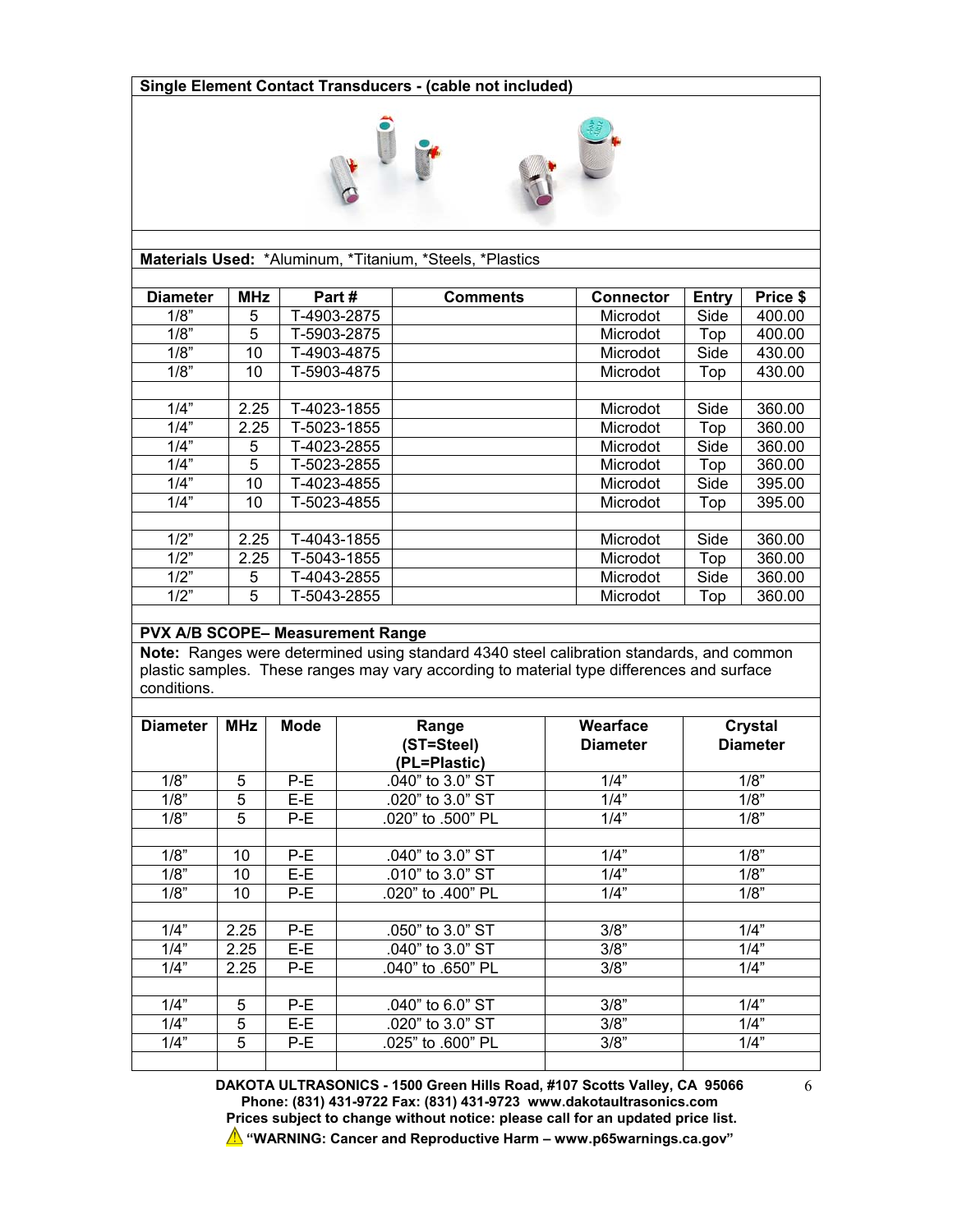#### **Single Element Contact Transducers - (cable not included)**



**Materials Used:** \*Aluminum, \*Titanium, \*Steels, \*Plastics

| <b>Diameter</b> | <b>MHz</b> | Part#       | <b>Comments</b> | <b>Connector</b> | Entry | Price \$ |
|-----------------|------------|-------------|-----------------|------------------|-------|----------|
| 1/8"            | 5          | T-4903-2875 |                 | Microdot         | Side  | 400.00   |
| 1/8"            | 5          | T-5903-2875 |                 | Microdot         | Top   | 400.00   |
| 1/8"            | 10         | T-4903-4875 |                 | Microdot         | Side  | 430.00   |
| 1/8"            | 10         | T-5903-4875 |                 | Microdot         | Top   | 430.00   |
|                 |            |             |                 |                  |       |          |
| 1/4"            | 2.25       | T-4023-1855 |                 | Microdot         | Side  | 360.00   |
| 1/4"            | 2.25       | T-5023-1855 |                 | Microdot         | Top   | 360.00   |
| 1/4"            | 5          | T-4023-2855 |                 | Microdot         | Side  | 360.00   |
| 1/4"            | 5          | T-5023-2855 |                 | Microdot         | Top   | 360.00   |
| 1/4"            | 10         | T-4023-4855 |                 | Microdot         | Side  | 395.00   |
| 1/4"            | 10         | T-5023-4855 |                 | Microdot         | Top   | 395.00   |
|                 |            |             |                 |                  |       |          |
| 1/2"            | 2.25       | T-4043-1855 |                 | Microdot         | Side  | 360.00   |
| 1/2"            | 2.25       | T-5043-1855 |                 | Microdot         | Top   | 360.00   |
| 1/2"            | 5          | T-4043-2855 |                 | Microdot         | Side  | 360.00   |
| 1/2"            | 5          | T-5043-2855 |                 | Microdot         | Top   | 360.00   |

#### **PVX A/B SCOPE– Measurement Range**

**Note:** Ranges were determined using standard 4340 steel calibration standards, and common plastic samples. These ranges may vary according to material type differences and surface conditions.

| <b>Diameter</b> | <b>MHz</b> | Mode  | Range                  | Wearface        | Crystal         |
|-----------------|------------|-------|------------------------|-----------------|-----------------|
|                 |            |       | (ST=Steel)             | <b>Diameter</b> | <b>Diameter</b> |
|                 |            |       | (PL=Plastic)           |                 |                 |
| 1/8"            | 5          | P-E   | .040" to 3.0" ST       | 1/4"            | 1/8"            |
| 1/8"            | 5          | $E-E$ | .020" to 3.0" ST       | 1/4"            | 1/8"            |
| 1/8"            | 5          | P-E   | .020" to .500" PL      | 1/4"            | 1/8"            |
|                 |            |       |                        |                 |                 |
| 1/8"            | 10         | $P-E$ | .040" to $3.0"$ ST     | 1/4"            | 1/8"            |
| 1/8"            | 10         | E-E   | $.010"$ to $3.0"$ ST   | 1/4"            | 1/8"            |
| 1/8"            | 10         | $P-E$ | .020" to .400" PL      | 1/4"            | 1/8"            |
|                 |            |       |                        |                 |                 |
| 1/4"            | 2.25       | $P-E$ | $.050$ " to $3.0$ " ST | 3/8"            | 1/4"            |
| 1/4"            | 2.25       | $E-E$ | .040" to 3.0" ST       | 3/8"            | 1/4"            |
| 1/4"            | 2.25       | $P-E$ | .040" to .650" PL      | 3/8"            | 1/4"            |
|                 |            |       |                        |                 |                 |
| 1/4"            | 5          | P-E   | .040" to 6.0" ST       | 3/8"            | 1/4"            |
| 1/4"            | 5          | E-E   | .020" to 3.0" ST       | 3/8"            | 1/4"            |
| 1/4"            | 5          | P-E   | .025" to .600" PL      | 3/8"            | 1/4"            |
|                 |            |       |                        |                 |                 |

**DAKOTA ULTRASONICS - 1500 Green Hills Road, #107 Scotts Valley, CA 95066 Phone: (831) 431-9722 Fax: (831) 431-9723 www.dakotaultrasonics.com Prices subject to change without notice: please call for an updated price list. "WARNING: Cancer and Reproductive Harm – www.p65warnings.ca.gov"**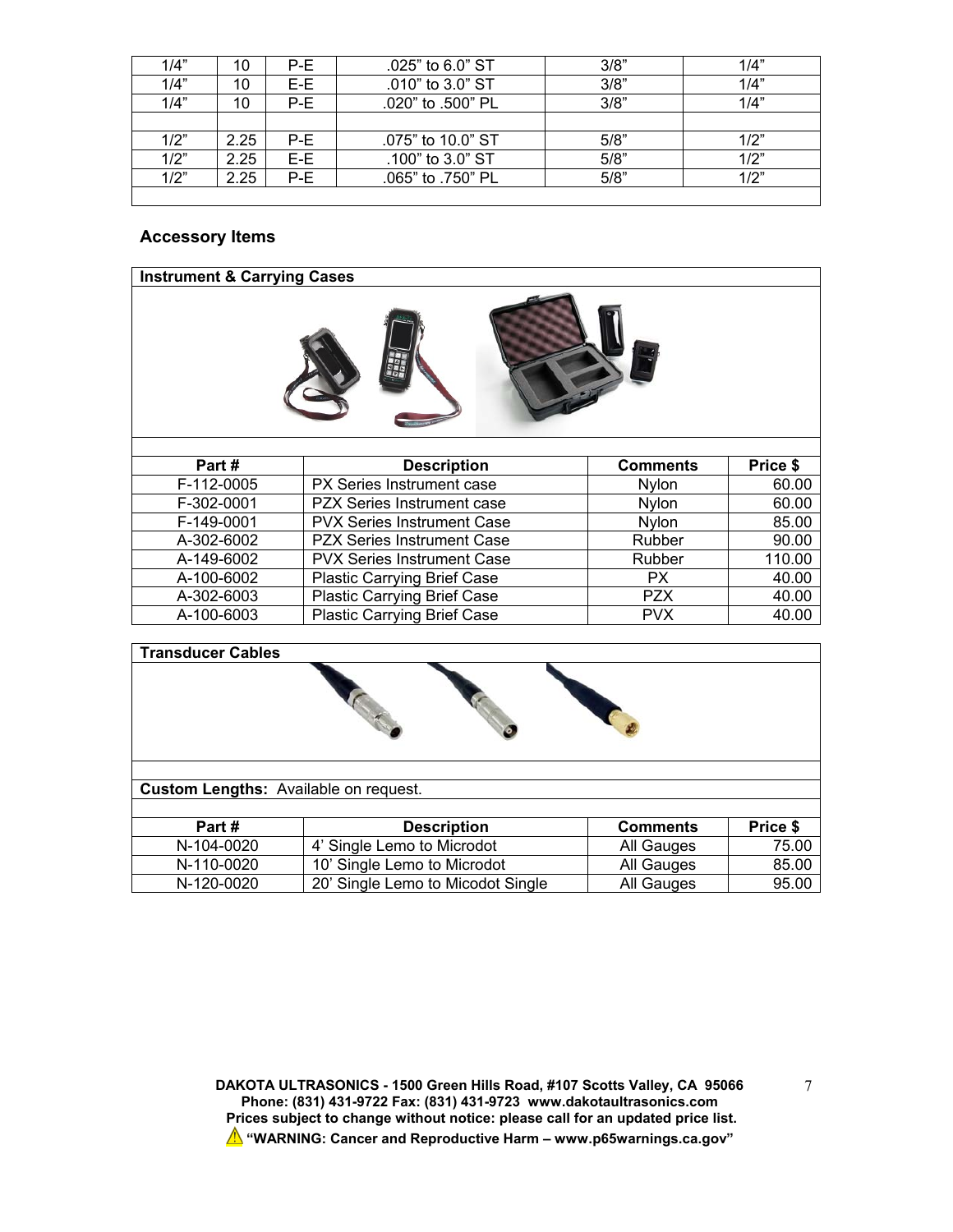| 1/4" | 10   | P-E | .025" to 6.0" ST  | 3/8" | 1/4" |
|------|------|-----|-------------------|------|------|
| 1/4" | 10   | E-E | .010" to 3.0" ST  | 3/8" | 1/4" |
| 1/4" | 10   | P-E | .020" to .500" PL | 3/8" | 1/4" |
|      |      |     |                   |      |      |
| 1/2" | 2.25 | P-E | .075" to 10.0" ST | 5/8" | 1/2" |
| 1/2" | 2.25 | E-E | .100" to 3.0" ST  | 5/8" | 1/2" |
| 1/2" | 2.25 | P-E | .065" to .750" PL | 5/8" | 1/2" |
|      |      |     |                   |      |      |

## **Accessory Items**

| <b>Instrument &amp; Carrying Cases</b> |                                    |                 |          |  |  |  |
|----------------------------------------|------------------------------------|-----------------|----------|--|--|--|
|                                        |                                    |                 |          |  |  |  |
| Part #                                 | <b>Description</b>                 | <b>Comments</b> | Price \$ |  |  |  |
| F-112-0005                             | PX Series Instrument case          | Nylon           | 60.00    |  |  |  |
| F-302-0001                             | <b>PZX Series Instrument case</b>  | <b>Nvlon</b>    | 60.00    |  |  |  |
| F-149-0001                             | <b>PVX Series Instrument Case</b>  | Nylon           | 85.00    |  |  |  |
| A-302-6002                             | <b>PZX Series Instrument Case</b>  | Rubber          | 90.00    |  |  |  |
| A-149-6002                             | <b>PVX Series Instrument Case</b>  | Rubber          | 110.00   |  |  |  |
| A-100-6002                             | <b>Plastic Carrying Brief Case</b> | PX.             | 40.00    |  |  |  |
| A-302-6003                             | <b>Plastic Carrying Brief Case</b> | <b>PZX</b>      | 40.00    |  |  |  |
| A-100-6003                             | <b>Plastic Carrying Brief Case</b> | <b>PVX</b>      | 40.00    |  |  |  |

| <b>Transducer Cables</b>              |                                   |                 |          |
|---------------------------------------|-----------------------------------|-----------------|----------|
|                                       |                                   |                 |          |
|                                       |                                   |                 |          |
| Custom Lengths: Available on request. |                                   |                 |          |
|                                       |                                   |                 |          |
| Part#                                 | <b>Description</b>                | <b>Comments</b> | Price \$ |
| N-104-0020                            | 4' Single Lemo to Microdot        | All Gauges      | 75.00    |
| N-110-0020                            | 10' Single Lemo to Microdot       | All Gauges      | 85.00    |
| N-120-0020                            | 20' Single Lemo to Micodot Single | All Gauges      | 95.00    |

**DAKOTA ULTRASONICS - 1500 Green Hills Road, #107 Scotts Valley, CA 95066 Phone: (831) 431-9722 Fax: (831) 431-9723 www.dakotaultrasonics.com Prices subject to change without notice: please call for an updated price list. "WARNING: Cancer and Reproductive Harm – www.p65warnings.ca.gov"**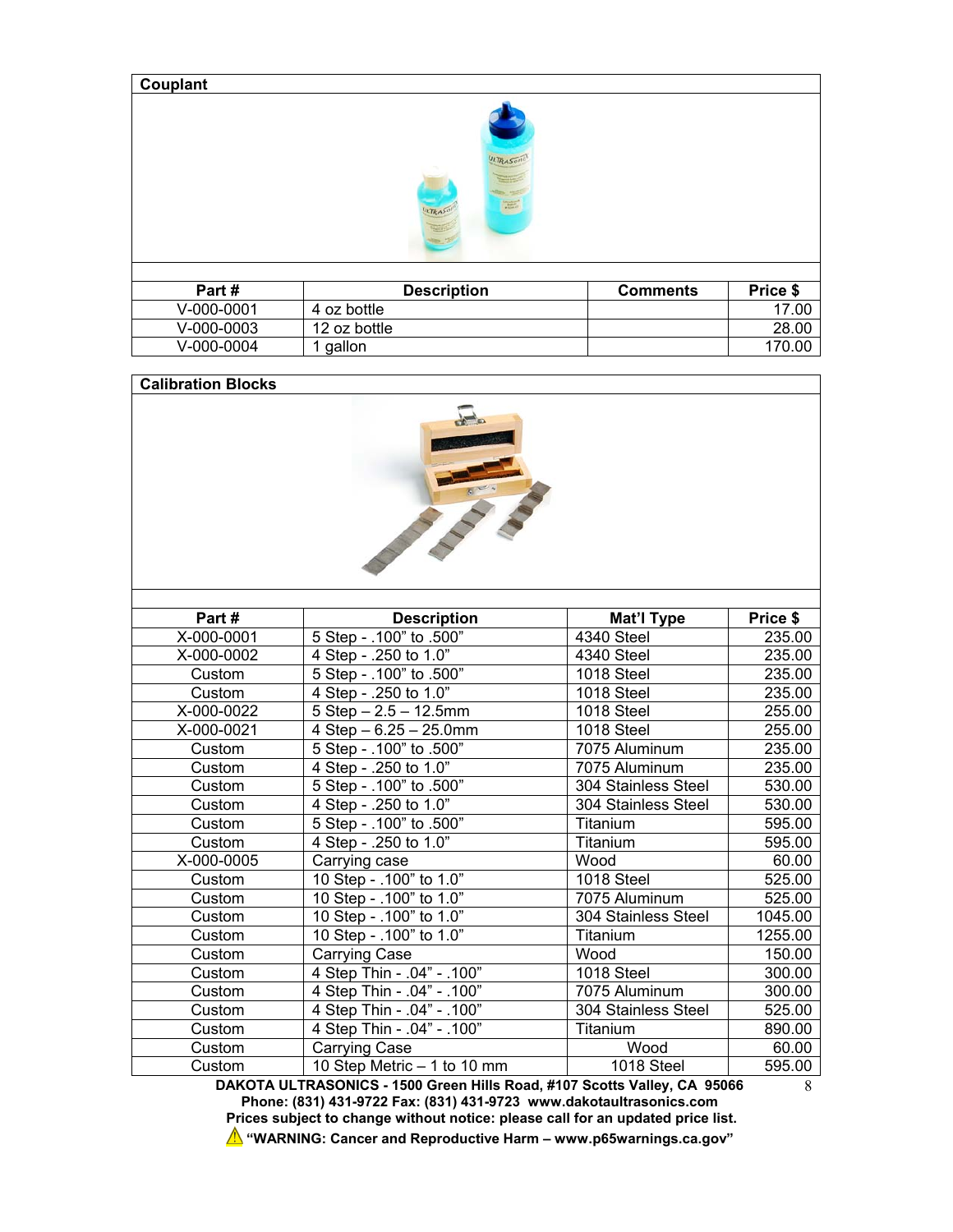| Couplant |  |
|----------|--|
|----------|--|



| Part #     | <b>Description</b> | <b>Comments</b> | <b>Price \$</b> |
|------------|--------------------|-----------------|-----------------|
| V-000-0001 | 4 oz bottle        |                 | 17.00           |
| V-000-0003 | 12 oz bottle       |                 | 28.00           |
| V-000-0004 | dallon             |                 | 170.00          |

#### **Calibration Blocks**



| Part#      | <b>Description</b>                 | Mat'l Type          | Price \$ |
|------------|------------------------------------|---------------------|----------|
| X-000-0001 | 5 Step - .100" to .500"            | 4340 Steel          | 235.00   |
| X-000-0002 | 4 Step - .250 to 1.0"              | 4340 Steel          | 235.00   |
| Custom     | 5 Step - .100" to .500"            | 1018 Steel          | 235.00   |
| Custom     | 4 Step - .250 to 1.0"              | 1018 Steel          | 235.00   |
| X-000-0022 | $5$ Step $- 2.5 - 12.5$ mm         | 1018 Steel          | 255.00   |
| X-000-0021 | $4$ Step $-6.25 - 25.0$ mm         | 1018 Steel          | 255.00   |
| Custom     | 5 Step - .100" to .500"            | 7075 Aluminum       | 235.00   |
| Custom     | $\overline{4}$ Step - .250 to 1.0" | 7075 Aluminum       | 235.00   |
| Custom     | 5 Step - .100" to .500"            | 304 Stainless Steel | 530.00   |
| Custom     | 4 Step - .250 to 1.0"              | 304 Stainless Steel | 530.00   |
| Custom     | 5 Step - .100" to .500"            | Titanium            | 595.00   |
| Custom     | 4 Step - .250 to 1.0"              | Titanium            | 595.00   |
| X-000-0005 | Carrying case                      | Wood                | 60.00    |
| Custom     | 10 Step - .100" to 1.0"            | 1018 Steel          | 525.00   |
| Custom     | 10 Step - .100" to 1.0"            | 7075 Aluminum       | 525.00   |
| Custom     | 10 Step - .100" to 1.0"            | 304 Stainless Steel | 1045.00  |
| Custom     | 10 Step - .100" to 1.0"            | Titanium            | 1255.00  |
| Custom     | Carrying Case                      | Wood                | 150.00   |
| Custom     | 4 Step Thin - .04" - .100"         | 1018 Steel          | 300.00   |
| Custom     | 4 Step Thin - .04" - .100"         | 7075 Aluminum       | 300.00   |
| Custom     | 4 Step Thin - .04" - .100"         | 304 Stainless Steel | 525.00   |
| Custom     | 4 Step Thin - .04" - .100"         | Titanium            | 890.00   |
| Custom     | Carrying Case                      | Wood                | 60.00    |
| Custom     | 10 Step Metric - 1 to 10 mm        | 1018 Steel          | 595.00   |

**DAKOTA ULTRASONICS - 1500 Green Hills Road, #107 Scotts Valley, CA 95066 Phone: (831) 431-9722 Fax: (831) 431-9723 www.dakotaultrasonics.com Prices subject to change without notice: please call for an updated price list. "WARNING: Cancer and Reproductive Harm – www.p65warnings.ca.gov"**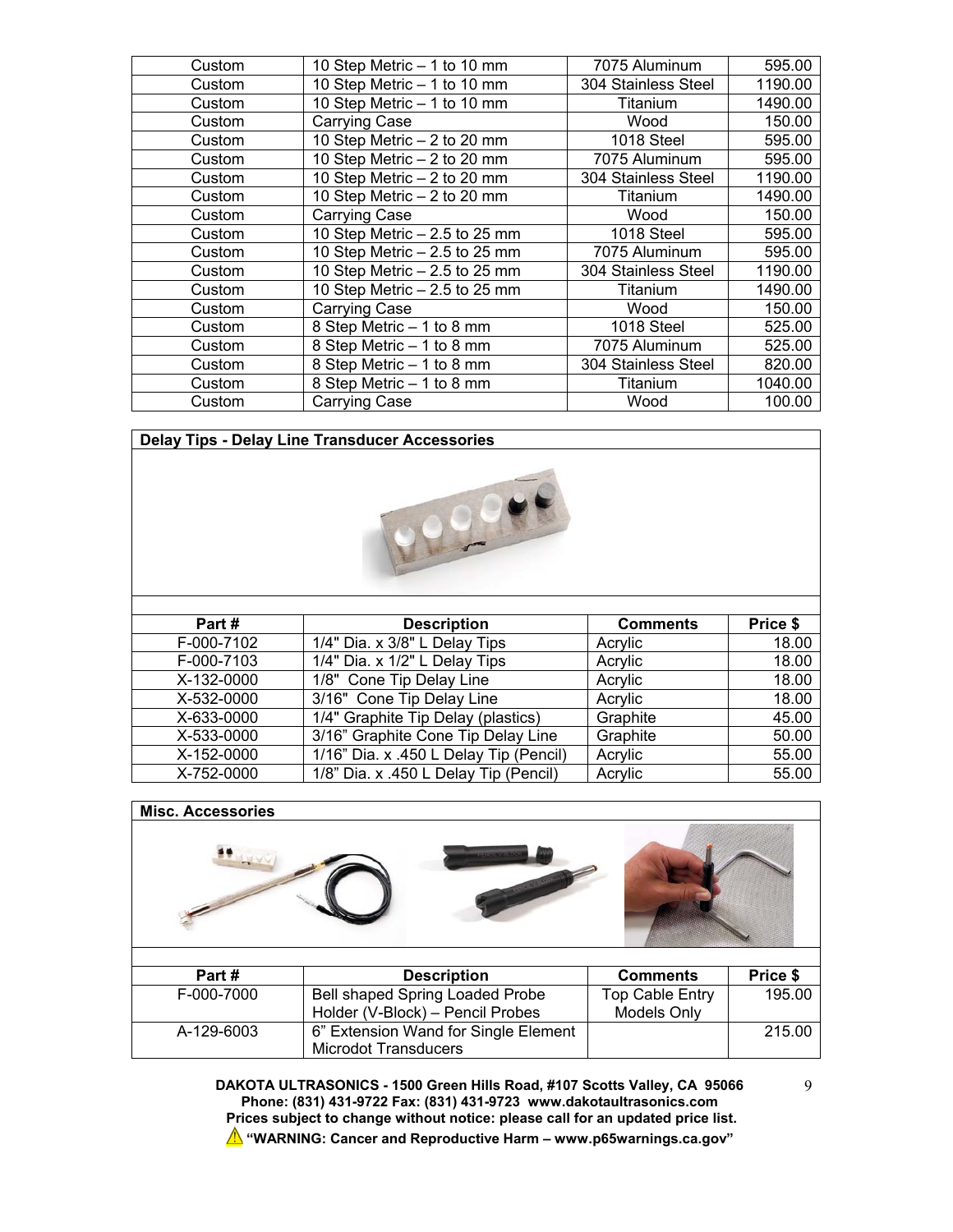| Custom | 10 Step Metric - 1 to 10 mm    | 7075 Aluminum       | 595.00  |
|--------|--------------------------------|---------------------|---------|
| Custom | 10 Step Metric - 1 to 10 mm    | 304 Stainless Steel | 1190.00 |
| Custom | 10 Step Metric - 1 to 10 mm    | Titanium            | 1490.00 |
| Custom | <b>Carrying Case</b>           | Wood                | 150.00  |
| Custom | 10 Step Metric - 2 to 20 mm    | 1018 Steel          | 595.00  |
| Custom | 10 Step Metric - 2 to 20 mm    | 7075 Aluminum       | 595.00  |
| Custom | 10 Step Metric - 2 to 20 mm    | 304 Stainless Steel | 1190.00 |
| Custom | 10 Step Metric - 2 to 20 mm    | Titanium            | 1490.00 |
| Custom | Carrying Case                  | Wood                | 150.00  |
| Custom | 10 Step Metric $-2.5$ to 25 mm | 1018 Steel          | 595.00  |
| Custom | 10 Step Metric $-2.5$ to 25 mm | 7075 Aluminum       | 595.00  |
| Custom | 10 Step Metric $-2.5$ to 25 mm | 304 Stainless Steel | 1190.00 |
| Custom | 10 Step Metric $-2.5$ to 25 mm | Titanium            | 1490.00 |
| Custom | Carrying Case                  | Wood                | 150.00  |
| Custom | 8 Step Metric - 1 to 8 mm      | 1018 Steel          | 525.00  |
| Custom | 8 Step Metric - 1 to 8 mm      | 7075 Aluminum       | 525.00  |
| Custom | 8 Step Metric - 1 to 8 mm      | 304 Stainless Steel | 820.00  |
| Custom | 8 Step Metric - 1 to 8 mm      | Titanium            | 1040.00 |
| Custom | Carrying Case                  | Wood                | 100.00  |

**Delay Tips - Delay Line Transducer Accessories Part # Description Comments Price \$** 

| <b>Description</b>                     | Comments | Price <b>»</b> |
|----------------------------------------|----------|----------------|
| 1/4" Dia. x 3/8" L Delay Tips          | Acrylic  | 18.00          |
| 1/4" Dia. x 1/2" L Delay Tips          | Acrylic  | 18.00          |
| 1/8" Cone Tip Delay Line               | Acrylic  | 18.00          |
| 3/16" Cone Tip Delay Line              | Acrylic  | 18.00          |
| 1/4" Graphite Tip Delay (plastics)     | Graphite | 45.00          |
| 3/16" Graphite Cone Tip Delay Line     | Graphite | 50.00          |
| 1/16" Dia. x .450 L Delay Tip (Pencil) | Acrylic  | 55.00          |
| 1/8" Dia. x .450 L Delay Tip (Pencil)  | Acrylic  | 55.00          |
|                                        |          |                |

# **Misc. Accessories Part # Description Comments Price \$**

| Part #     | <b>Description</b>                     | Comments        | Price <b>»</b> |
|------------|----------------------------------------|-----------------|----------------|
| F-000-7000 | <b>Bell shaped Spring Loaded Probe</b> | Top Cable Entry | 195.00         |
|            | Holder (V-Block) – Pencil Probes       | Models Only     |                |
| A-129-6003 | 6" Extension Wand for Single Element   |                 | 215.00         |
|            | Microdot Transducers                   |                 |                |

**DAKOTA ULTRASONICS - 1500 Green Hills Road, #107 Scotts Valley, CA 95066 Phone: (831) 431-9722 Fax: (831) 431-9723 www.dakotaultrasonics.com Prices subject to change without notice: please call for an updated price list. "WARNING: Cancer and Reproductive Harm – www.p65warnings.ca.gov"**